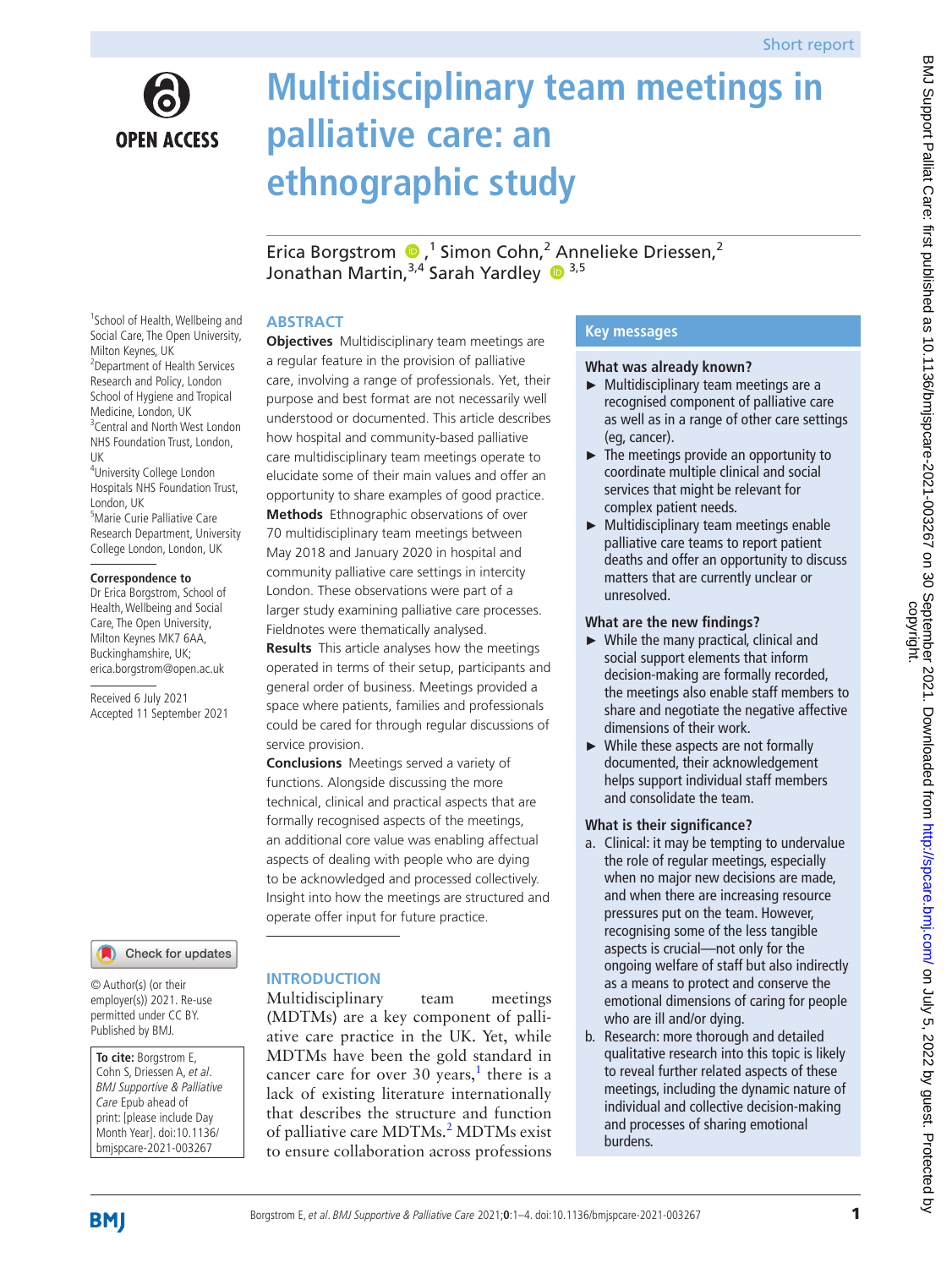

# **Multidisciplinary team meetings in palliative care: an ethnographic study**

EricaBorgstrom  $\bullet$ ,<sup>1</sup> Simon Cohn,<sup>2</sup> Annelieke Driessen,<sup>2</sup> Jonathan Martin,  $3,4$  Sarah Yardley  $\bullet$   $3,5$ 

## **ABSTRACT**

<sup>1</sup>School of Health, Wellbeing and Social Care, The Open University, Milton Keynes, UK 2 Department of Health Services Research and Policy, London School of Hygiene and Tropical Medicine, London, UK <sup>3</sup> Central and North West London NHS Foundation Trust, London, UK 4 University College London Hospitals NHS Foundation Trust,

London, UK 5 Marie Curie Palliative Care Research Department, University College London, London, UK

#### **Correspondence to**

Dr Erica Borgstrom, School of Health, Wellbeing and Social Care, The Open University, Milton Keynes MK7 6AA, Buckinghamshire, UK; erica.borgstrom@open.ac.uk

Received 6 July 2021 Accepted 11 September 2021

### Check for updates

© Author(s) (or their employer(s)) 2021. Re-use permitted under CC BY. Published by BMJ.

**To cite:** Borgstrom E, Cohn S, Driessen A, et al. BMJ Supportive & Palliative Care Epub ahead of print: [please include Day Month Year]. doi:10.1136/ bmjspcare-2021-003267

## a regular feature in the provision of palliative care, involving a range of professionals. Yet, their purpose and best format are not necessarily well understood or documented. This article describes how hospital and community-based palliative care multidisciplinary team meetings operate to elucidate some of their main values and offer an opportunity to share examples of good practice. **Methods** Ethnographic observations of over 70 multidisciplinary team meetings between May 2018 and January 2020 in hospital and community palliative care settings in intercity London. These observations were part of a larger study examining palliative care processes. Fieldnotes were thematically analysed. **Results** This article analyses how the meetings

**Objectives** Multidisciplinary team meetings are

operated in terms of their setup, participants and general order of business. Meetings provided a space where patients, families and professionals could be cared for through regular discussions of service provision.

**Conclusions** Meetings served a variety of functions. Alongside discussing the more technical, clinical and practical aspects that are formally recognised aspects of the meetings, an additional core value was enabling affectual aspects of dealing with people who are dying to be acknowledged and processed collectively. Insight into how the meetings are structured and operate offer input for future practice.

## **INTRODUCTION**

Multidisciplinary team meetings (MDTMs) are a key component of palliative care practice in the UK. Yet, while MDTMs have been the gold standard in cancer care for over 30 years,<sup>[1](#page-3-0)</sup> there is a lack of existing literature internationally that describes the structure and function of palliative care MDTMs.<sup>2</sup> MDTMs exist to ensure collaboration across professions

## **Key messages**

#### **What was already known?**

- ► Multidisciplinary team meetings are a recognised component of palliative care as well as in a range of other care settings (eg, cancer).
- $\blacktriangleright$  The meetings provide an opportunity to coordinate multiple clinical and social services that might be relevant for complex patient needs.
- ► Multidisciplinary team meetings enable palliative care teams to report patient deaths and offer an opportunity to discuss matters that are currently unclear or unresolved.

#### **What are the new findings?**

- ► While the many practical, clinical and social support elements that inform decision-making are formally recorded, the meetings also enable staff members to share and negotiate the negative affective dimensions of their work.
- ► While these aspects are not formally documented, their acknowledgement helps support individual staff members and consolidate the team.

### **What is their significance?**

- a. Clinical: it may be tempting to undervalue the role of regular meetings, especially when no major new decisions are made, and when there are increasing resource pressures put on the team. However, recognising some of the less tangible aspects is crucial—not only for the ongoing welfare of staff but also indirectly as a means to protect and conserve the emotional dimensions of caring for people who are ill and/or dying.
- b. Research: more thorough and detailed qualitative research into this topic is likely to reveal further related aspects of these meetings, including the dynamic nature of individual and collective decision-making and processes of sharing emotional burdens.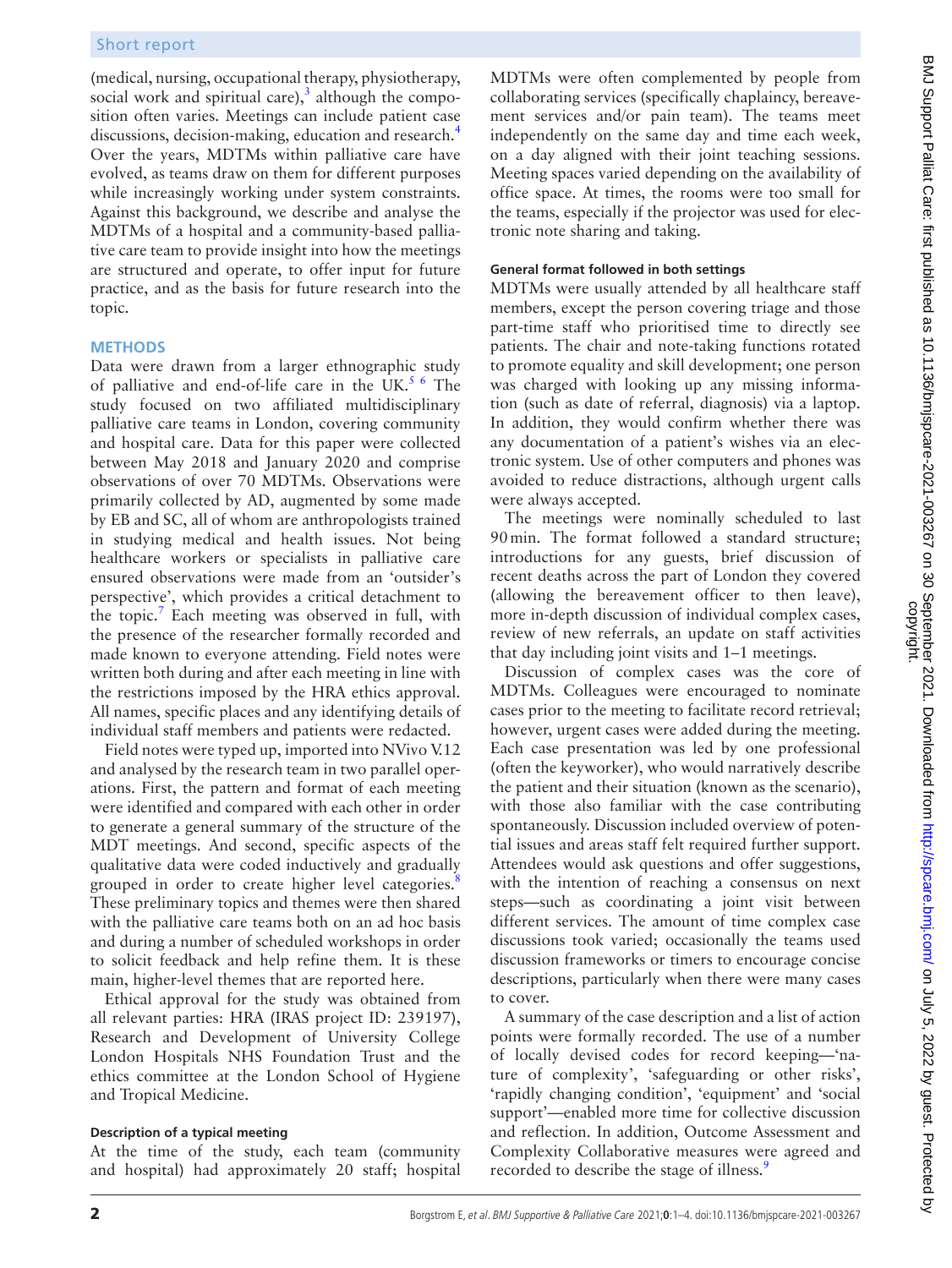(medical, nursing, occupational therapy, physiotherapy, social work and spiritual care)[,](https://www.bmj.com/content/340/bmj.c951.full) $3$  although the composition often varies. Meetings can include patient case discussions, decision-making, education and research.<sup>[4](#page-3-3)</sup> Over the years, MDTMs within palliative care have evolved, as teams draw on them for different purposes while increasingly working under system constraints. Against this background, we describe and analyse the MDTMs of a hospital and a community-based palliative care team to provide insight into how the meetings are structured and operate, to offer input for future practice, and as the basis for future research into the topic.

#### **METHODS**

Data were drawn from a larger ethnographic study of palliative and end-of-life care in the UK.<sup>5 6</sup> The study focused on two affiliated multidisciplinary palliative care teams in London, covering community and hospital care. Data for this paper were collected between May 2018 and January 2020 and comprise observations of over 70 MDTMs. Observations were primarily collected by AD, augmented by some made by EB and SC, all of whom are anthropologists trained in studying medical and health issues. Not being healthcare workers or specialists in palliative care ensured observations were made from an 'outsider's perspective', which provides a critical detachment to the topic.<sup>[7](#page-3-5)</sup> Each meeting was observed in full, with the presence of the researcher formally recorded and made known to everyone attending. Field notes were written both during and after each meeting in line with the restrictions imposed by the HRA ethics approval. All names, specific places and any identifying details of individual staff members and patients were redacted.

Field notes were typed up, imported into NVivo V.12 and analysed by the research team in two parallel operations. First, the pattern and format of each meeting were identified and compared with each other in order to generate a general summary of the structure of the MDT meetings. And second, specific aspects of the qualitative data were coded inductively and gradually grouped in order to create higher level categories.<sup>[8](#page-3-6)</sup> These preliminary topics and themes were then shared with the palliative care teams both on an ad hoc basis and during a number of scheduled workshops in order to solicit feedback and help refine them. It is these main, higher-level themes that are reported here.

Ethical approval for the study was obtained from all relevant parties: HRA (IRAS project ID: 239197), Research and Development of University College London Hospitals NHS Foundation Trust and the ethics committee at the London School of Hygiene and Tropical Medicine.

#### **Description of a typical meeting**

At the time of the study, each team (community and hospital) had approximately 20 staff; hospital

MDTMs were often complemented by people from collaborating services (specifically chaplaincy, bereavement services and/or pain team). The teams meet independently on the same day and time each week, on a day aligned with their joint teaching sessions. Meeting spaces varied depending on the availability of office space. At times, the rooms were too small for the teams, especially if the projector was used for electronic note sharing and taking.

#### **General format followed in both settings**

MDTMs were usually attended by all healthcare staff members, except the person covering triage and those part-time staff who prioritised time to directly see patients. The chair and note-taking functions rotated to promote equality and skill development; one person was charged with looking up any missing information (such as date of referral, diagnosis) via a laptop. In addition, they would confirm whether there was any documentation of a patient's wishes via an electronic system. Use of other computers and phones was avoided to reduce distractions, although urgent calls were always accepted.

The meetings were nominally scheduled to last 90min. The format followed a standard structure; introductions for any guests, brief discussion of recent deaths across the part of London they covered (allowing the bereavement officer to then leave), more in-depth discussion of individual complex cases, review of new referrals, an update on staff activities that day including joint visits and 1–1 meetings.

Discussion of complex cases was the core of MDTMs. Colleagues were encouraged to nominate cases prior to the meeting to facilitate record retrieval; however, urgent cases were added during the meeting. Each case presentation was led by one professional (often the keyworker), who would narratively describe the patient and their situation (known as the scenario), with those also familiar with the case contributing spontaneously. Discussion included overview of potential issues and areas staff felt required further support. Attendees would ask questions and offer suggestions, with the intention of reaching a consensus on next steps—such as coordinating a joint visit between different services. The amount of time complex case discussions took varied; occasionally the teams used discussion frameworks or timers to encourage concise descriptions, particularly when there were many cases to cover.

A summary of the case description and a list of action points were formally recorded. The use of a number of locally devised codes for record keeping—'nature of complexity', 'safeguarding or other risks', 'rapidly changing condition', 'equipment' and 'social support'—enabled more time for collective discussion and reflection. In addition, Outcome Assessment and Complexity Collaborative measures were agreed and recorded to describe the stage of illness.<sup>[9](#page-3-7)</sup>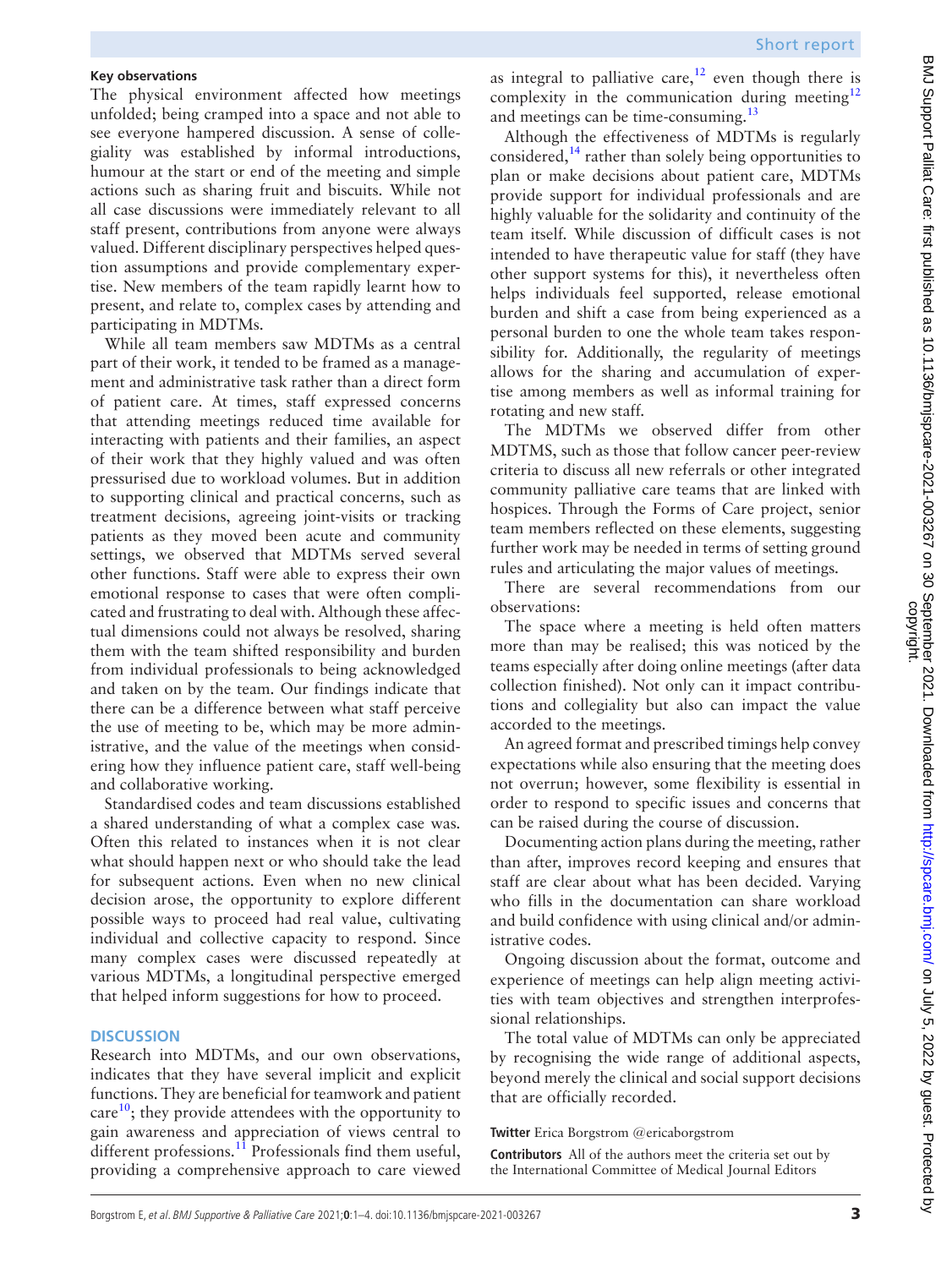### **Key observations**

The physical environment affected how meetings unfolded; being cramped into a space and not able to see everyone hampered discussion. A sense of collegiality was established by informal introductions, humour at the start or end of the meeting and simple actions such as sharing fruit and biscuits. While not all case discussions were immediately relevant to all staff present, contributions from anyone were always valued. Different disciplinary perspectives helped question assumptions and provide complementary expertise. New members of the team rapidly learnt how to present, and relate to, complex cases by attending and participating in MDTMs.

While all team members saw MDTMs as a central part of their work, it tended to be framed as a management and administrative task rather than a direct form of patient care. At times, staff expressed concerns that attending meetings reduced time available for interacting with patients and their families, an aspect of their work that they highly valued and was often pressurised due to workload volumes. But in addition to supporting clinical and practical concerns, such as treatment decisions, agreeing joint-visits or tracking patients as they moved been acute and community settings, we observed that MDTMs served several other functions. Staff were able to express their own emotional response to cases that were often complicated and frustrating to deal with. Although these affectual dimensions could not always be resolved, sharing them with the team shifted responsibility and burden from individual professionals to being acknowledged and taken on by the team. Our findings indicate that there can be a difference between what staff perceive the use of meeting to be, which may be more administrative, and the value of the meetings when considering how they influence patient care, staff well-being and collaborative working.

Standardised codes and team discussions established a shared understanding of what a complex case was. Often this related to instances when it is not clear what should happen next or who should take the lead for subsequent actions. Even when no new clinical decision arose, the opportunity to explore different possible ways to proceed had real value, cultivating individual and collective capacity to respond. Since many complex cases were discussed repeatedly at various MDTMs, a longitudinal perspective emerged that helped inform suggestions for how to proceed.

#### **DISCUSSION**

Research into MDTMs, and our own observations, indicates that they have several implicit and explicit functions. They are beneficial for teamwork and patient care $^{10}$ ; they provide attendees with the opportunity to gain awareness and appreciation of views central to different professions.<sup>11</sup> Professionals find them useful, providing a comprehensive approach to care viewed

as integral to palliative care,<sup>12</sup> even though there is complexity in the communication during meeting $12$ and meetings can be time-consuming.<sup>[13](#page-3-11)</sup>

Although the effectiveness of MDTMs is regularly considered, $^{14}$  $^{14}$  $^{14}$  rather than solely being opportunities to plan or make decisions about patient care, MDTMs provide support for individual professionals and are highly valuable for the solidarity and continuity of the team itself. While discussion of difficult cases is not intended to have therapeutic value for staff (they have other support systems for this), it nevertheless often helps individuals feel supported, release emotional burden and shift a case from being experienced as a personal burden to one the whole team takes responsibility for. Additionally, the regularity of meetings allows for the sharing and accumulation of expertise among members as well as informal training for rotating and new staff.

The MDTMs we observed differ from other MDTMS, such as those that follow cancer peer-review criteria to discuss all new referrals or other integrated community palliative care teams that are linked with hospices. Through the Forms of Care project, senior team members reflected on these elements, suggesting further work may be needed in terms of setting ground rules and articulating the major values of meetings.

There are several recommendations from our observations:

The space where a meeting is held often matters more than may be realised; this was noticed by the teams especially after doing online meetings (after data collection finished). Not only can it impact contributions and collegiality but also can impact the value accorded to the meetings.

An agreed format and prescribed timings help convey expectations while also ensuring that the meeting does not overrun; however, some flexibility is essential in order to respond to specific issues and concerns that can be raised during the course of discussion.

Documenting action plans during the meeting, rather than after, improves record keeping and ensures that staff are clear about what has been decided. Varying who fills in the documentation can share workload and build confidence with using clinical and/or administrative codes.

Ongoing discussion about the format, outcome and experience of meetings can help align meeting activities with team objectives and strengthen interprofessional relationships.

The total value of MDTMs can only be appreciated by recognising the wide range of additional aspects, beyond merely the clinical and social support decisions that are officially recorded.

#### **Twitter** Erica Borgstrom [@ericaborgstrom](https://twitter.com/ericaborgstrom)

**Contributors** All of the authors meet the criteria set out by the International Committee of Medical Journal Editors